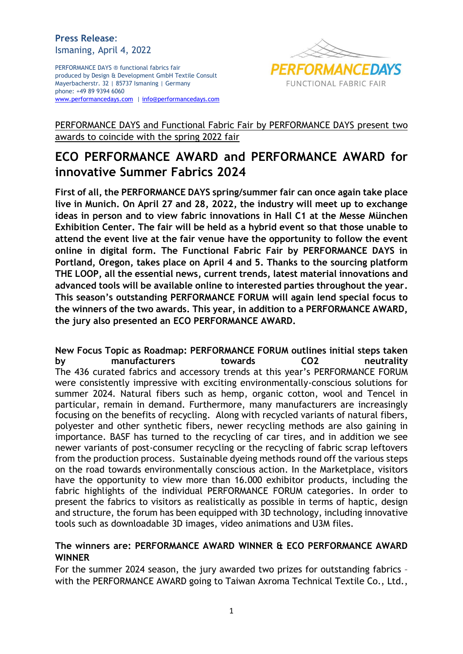### **Press Release**: Ismaning, April 4, 2022

PERFORMANCE DAYS ® functional fabrics fair produced by Design & Development GmbH Textile Consult Mayerbacherstr. 32 | 85737 Ismaning | Germany phone: +49 89 9394 6060 [www.performancedays.com](http://www.performancedays.com/) [| info@performancedays.com](mailto:info@performancedays.com)



# PERFORMANCE DAYS and Functional Fabric Fair by PERFORMANCE DAYS present two awards to coincide with the spring 2022 fair

# **ECO PERFORMANCE AWARD and PERFORMANCE AWARD for innovative Summer Fabrics 2024**

**First of all, the PERFORMANCE DAYS spring/summer fair can once again take place live in Munich. On April 27 and 28, 2022, the industry will meet up to exchange ideas in person and to view fabric innovations in Hall C1 at the Messe München Exhibition Center. The fair will be held as a hybrid event so that those unable to attend the event live at the fair venue have the opportunity to follow the event online in digital form. The Functional Fabric Fair by PERFORMANCE DAYS in Portland, Oregon, takes place on April 4 and 5. Thanks to the sourcing platform THE LOOP, all the essential news, current trends, latest material innovations and advanced tools will be available online to interested parties throughout the year. This season's outstanding PERFORMANCE FORUM will again lend special focus to the winners of the two awards. This year, in addition to a PERFORMANCE AWARD, the jury also presented an ECO PERFORMANCE AWARD.**

**New Focus Topic as Roadmap: PERFORMANCE FORUM outlines initial steps taken by manufacturers towards CO2 neutrality** The 436 curated fabrics and accessory trends at this year's PERFORMANCE FORUM were consistently impressive with exciting environmentally-conscious solutions for summer 2024. Natural fibers such as hemp, organic cotton, wool and Tencel in particular, remain in demand. Furthermore, many manufacturers are increasingly focusing on the benefits of recycling. Along with recycled variants of natural fibers, polyester and other synthetic fibers, newer recycling methods are also gaining in importance. BASF has turned to the recycling of car tires, and in addition we see newer variants of post-consumer recycling or the recycling of fabric scrap leftovers from the production process. Sustainable dyeing methods round off the various steps on the road towards environmentally conscious action. In the Marketplace, visitors have the opportunity to view more than 16.000 exhibitor products, including the fabric highlights of the individual PERFORMANCE FORUM categories. In order to present the fabrics to visitors as realistically as possible in terms of haptic, design and structure, the forum has been equipped with 3D technology, including innovative tools such as downloadable 3D images, video animations and U3M files.

## **The winners are: PERFORMANCE AWARD WINNER & ECO PERFORMANCE AWARD WINNER**

For the summer 2024 season, the jury awarded two prizes for outstanding fabrics – with the PERFORMANCE AWARD going to Taiwan Axroma Technical Textile Co., Ltd.,